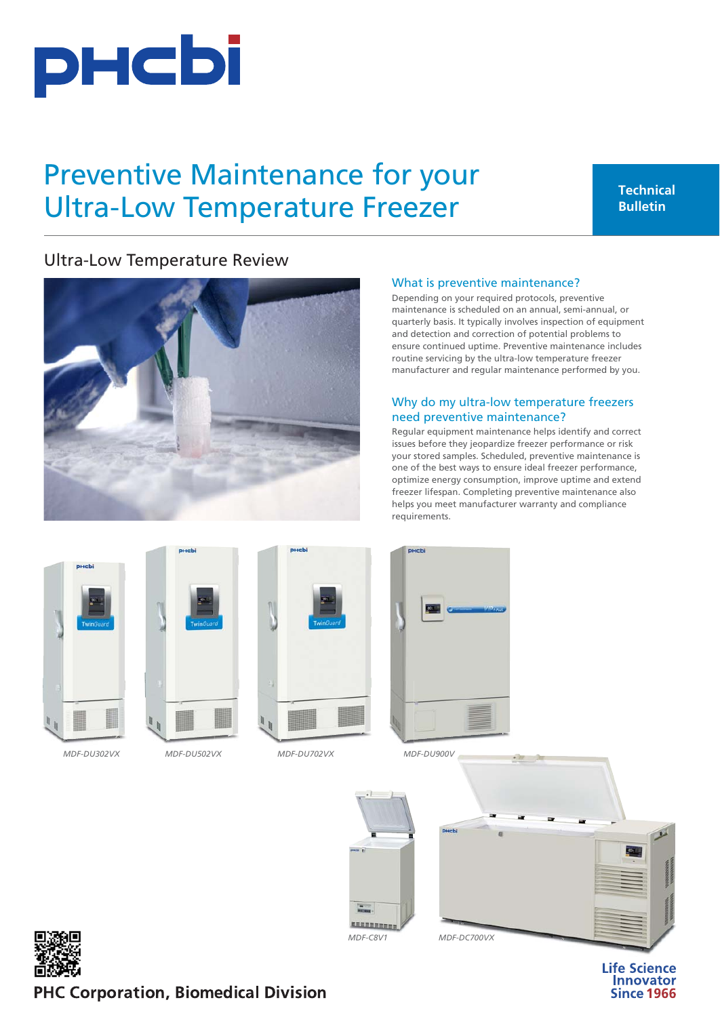

# Preventive Maintenance for your Ultra-Low Temperature Freezer

# Ultra-Low Temperature Review



### What is preventive maintenance?

Depending on your required protocols, preventive maintenance is scheduled on an annual, semi-annual, or quarterly basis. It typically involves inspection of equipment and detection and correction of potential problems to ensure continued uptime. Preventive maintenance includes routine servicing by the ultra-low temperature freezer manufacturer and regular maintenance performed by you.

## Why do my ultra-low temperature freezers need preventive maintenance?

Regular equipment maintenance helps identify and correct issues before they jeopardize freezer performance or risk your stored samples. Scheduled, preventive maintenance is one of the best ways to ensure ideal freezer performance, optimize energy consumption, improve uptime and extend freezer lifespan. Completing preventive maintenance also helps you meet manufacturer warranty and compliance requirements.







*[MDF-DU302VX](https://www.phchd.com/global/biomedical/preservation/ultra-low-freezers/TwinGuard-ULT-freezers/mdf-du302vx) [MDF-DU502VX](https://www.phchd.com/global/biomedical/preservation/ultra-low-freezers/TwinGuard-ULT-freezers/mdf-du502vx) [MDF-DU702VX](https://www.phchd.com/global/biomedical/preservation/ultra-low-freezers/TwinGuard-ULT-freezers/mdf-du702vx) MD*



*[MDF](https://www.phchd.com/global/biomedical/preservation/ultra-low-freezers/VIP-ULT-freezers/mdf-du900v)-[DU900V](https://www.phchd.com/global/biomedical/preservation/ultra-low-freezers/VIP-ULT-freezers/mdf-du900v)*







# PHC Corporation, Biomedical Division

**Life Science** Innovator **Since 1966**